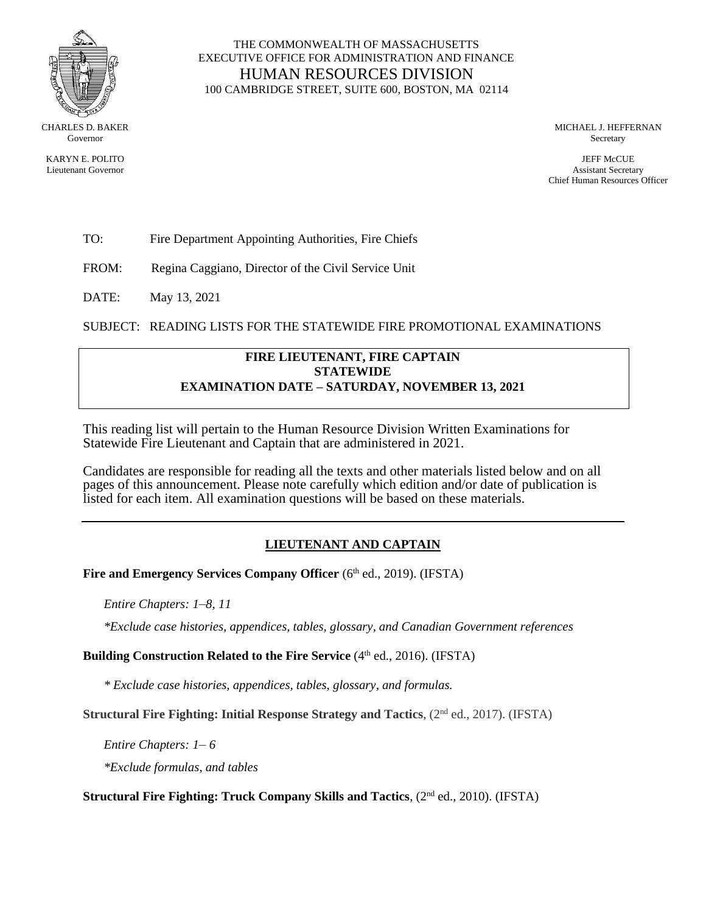

CHARLES D. BAKER Governor

KARYN E. POLITO Lieutenant Governor

## THE COMMONWEALTH OF MASSACHUSETTS EXECUTIVE OFFICE FOR ADMINISTRATION AND FINANCE HUMAN RESOURCES DIVISION 100 CAMBRIDGE STREET, SUITE 600, BOSTON, MA 02114

MICHAEL J. HEFFERNAN Secretary

JEFF McCUE Assistant Secretary Chief Human Resources Officer

TO: Fire Department Appointing Authorities, Fire Chiefs

FROM: Regina Caggiano, Director of the Civil Service Unit

DATE: May 13, 2021

SUBJECT: READING LISTS FOR THE STATEWIDE FIRE PROMOTIONAL EXAMINATIONS

#### **FIRE LIEUTENANT, FIRE CAPTAIN STATEWIDE EXAMINATION DATE – SATURDAY, NOVEMBER 13, 2021**

This reading list will pertain to the Human Resource Division Written Examinations for Statewide Fire Lieutenant and Captain that are administered in 2021.

Candidates are responsible for reading all the texts and other materials listed below and on all pages of this announcement. Please note carefully which edition and/or date of publication is listed for each item. All examination questions will be based on these materials.

# **LIEUTENANT AND CAPTAIN**

Fire and Emergency Services Company Officer (6th ed., 2019). (IFSTA)

*Entire Chapters: 1*–*8, 11*

*\*Exclude case histories, appendices, tables, glossary, and Canadian Government references*

**Building Construction Related to the Fire Service** (4<sup>th</sup> ed., 2016). (IFSTA)

*\* Exclude case histories, appendices, tables, glossary, and formulas.*

**Structural Fire Fighting: Initial Response Strategy and Tactics**,  $(2^{nd}$  ed., 2017). (IFSTA)

*Entire Chapters: 1*– *6*

*\*Exclude formulas, and tables*

**Structural Fire Fighting: Truck Company Skills and Tactics**, (2<sup>nd</sup> ed., 2010). (IFSTA)